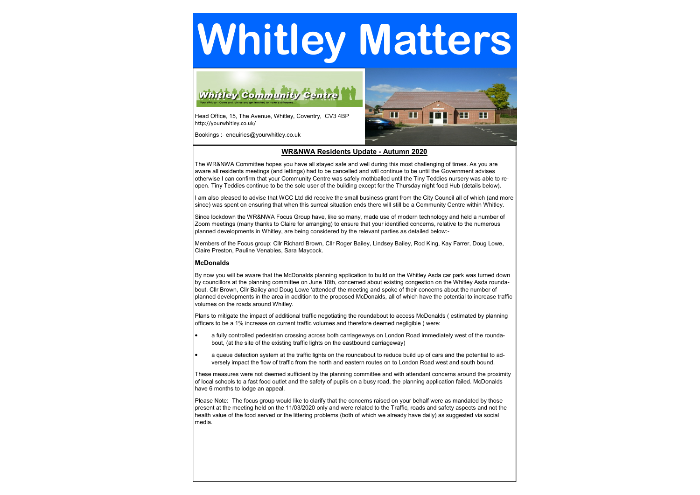# Whitley Matters



Head Office, 15, The Avenue, Whitley, Coventry, CV3 4BPhttp://yourwhitley.co.uk/

Bookings :- enquiries@yourwhitley.co.uk



# WR&NWA Residents Update **-** Autumn 2020

The WR&NWA Committee hopes you have all stayed safe and well during this most challenging of times. As you are aware all residents meetings (and lettings) had to be cancelled and will continue to be until the Government advises otherwise I can confirm that your Community Centre was safely mothballed until the Tiny Teddies nursery was able to reopen. Tiny Teddies continue to be the sole user of the building except for the Thursday night food Hub (details below).

I am also pleased to advise that WCC Ltd did receive the small business grant from the City Council all of which (and more since) was spent on ensuring that when this surreal situation ends there will still be a Community Centre within Whitley.

Since lockdown the WR&NWA Focus Group have, like so many, made use of modern technology and held a number of Zoom meetings (many thanks to Claire for arranging) to ensure that your identified concerns, relative to the numerous planned developments in Whitley, are being considered by the relevant parties as detailed below:-

These measures were not deemed sufficient by the planning committee and with attendant concerns around the proximity of local schools to a fast food outlet and the safety of pupils on a busy road, the planning application failed. McDonalds have 6 months to lodge an appeal.

Members of the Focus group: Cllr Richard Brown, Cllr Roger Bailey, Lindsey Bailey, Rod King, Kay Farrer, Doug Lowe, Claire Preston, Pauline Venables, Sara Maycock.

# McDonalds

Please Note:- The focus group would like to clarify that the concerns raised on your behalf were as mandated by those present at the meeting held on the 11/03/2020 only and were related to the Traffic, roads and safety aspects and not the health value of the food served or the littering problems (both of which we already have daily) as suggested via social media.

By now you will be aware that the McDonalds planning application to build on the Whitley Asda car park was turned down by councillors at the planning committee on June 18th, concerned about existing congestion on the Whitley Asda roundabout. Cllr Brown, Cllr Bailey and Doug Lowe 'attended' the meeting and spoke of their concerns about the number of planned developments in the area in addition to the proposed McDonalds, all of which have the potential to increase traffic volumes on the roads around Whitley.

Plans to mitigate the impact of additional traffic negotiating the roundabout to access McDonalds ( estimated by planning officers to be a 1% increase on current traffic volumes and therefore deemed negligible ) were:

- a fully controlled pedestrian crossing across both carriageways on London Road immediately west of the roundabout, (at the site of the existing traffic lights on the eastbound carriageway)
- a queue detection system at the traffic lights on the roundabout to reduce build up of cars and the potential to adversely impact the flow of traffic from the north and eastern routes on to London Road west and south bound.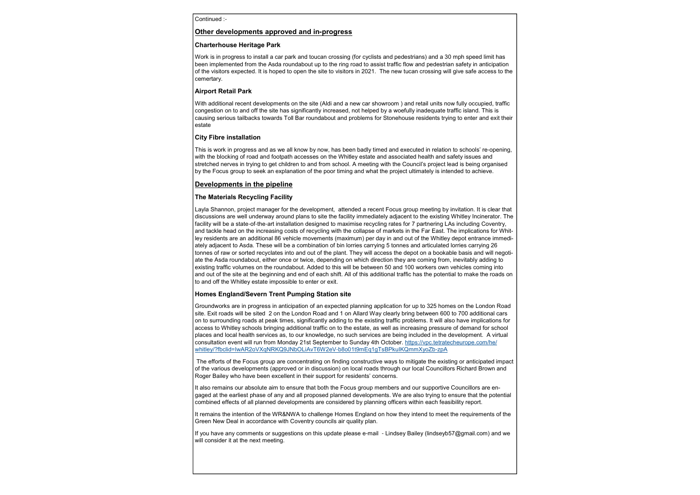Continued :-

#### Other developments approved and in**-**progress

#### Charterhouse Heritage Park

Work is in progress to install a car park and toucan crossing (for cyclists and pedestrians) and a 30 mph speed limit has been implemented from the Asda roundabout up to the ring road to assist traffic flow and pedestrian safety in anticipation of the visitors expected. It is hoped to open the site to visitors in 2021. The new tucan crossing will give safe access to the cemertary.

# Airport Retail Park

With additional recent developments on the site (Aldi and a new car showroom ) and retail units now fully occupied, traffic congestion on to and off the site has significantly increased, not helped by a woefully inadequate traffic island. This is causing serious tailbacks towards Toll Bar roundabout and problems for Stonehouse residents trying to enter and exit their estate

#### City Fibre installation

This is work in progress and as we all know by now, has been badly timed and executed in relation to schools' re-opening, with the blocking of road and footpath accesses on the Whitley estate and associated health and safety issues and stretched nerves in trying to get children to and from school. A meeting with the Council's project lead is being organised by the Focus group to seek an explanation of the poor timing and what the project ultimately is intended to achieve.

# Developments in the pipeline

# The Materials Recycling Facility

Layla Shannon, project manager for the development, attended a recent Focus group meeting by invitation. It is clear that discussions are well underway around plans to site the facility immediately adjacent to the existing Whitley Incinerator. The facility will be a state-of-the-art installation designed to maximise recycling rates for 7 partnering LAs including Coventry, and tackle head on the increasing costs of recycling with the collapse of markets in the Far East. The implications for Whitley residents are an additional 86 vehicle movements (maximum) per day in and out of the Whitley depot entrance immediately adjacent to Asda. These will be a combination of bin lorries carrying 5 tonnes and articulated lorries carrying 26 tonnes of raw or sorted recyclates into and out of the plant. They will access the depot on a bookable basis and will negotiate the Asda roundabout, either once or twice, depending on which direction they are coming from, inevitably adding to existing traffic volumes on the roundabout. Added to this will be between 50 and 100 workers own vehicles coming into and out of the site at the beginning and end of each shift. All of this additional traffic has the potential to make the roads on to and off the Whitley estate impossible to enter or exit.

#### Homes England/Severn Trent Pumping Station site

Groundworks are in progress in anticipation of an expected planning application for up to 325 homes on the London Road site. Exit roads will be sited 2 on the London Road and 1 on Allard Way clearly bring between 600 to 700 additional cars on to surrounding roads at peak times, significantly adding to the existing traffic problems. It will also have implications for access to Whitley schools bringing additional traffic on to the estate, as well as increasing pressure of demand for school places and local health services as, to our knowledge, no such services are being included in the development. A virtual consultation event will run from Monday 21st September to Sunday 4th October. https://vpc.tetratecheurope.com/he/ whitley/?fbclid=IwAR2oVXqNRKQ9JNbOLiAvT6W2eV-b8o01t9mEq1gTsBPkuIKQmmXyoZb-zpA

The efforts of the Focus group are concentrating on finding constructive ways to mitigate the existing or anticipated impact of the various developments (approved or in discussion) on local roads through our local Councillors Richard Brown and Roger Bailey who have been excellent in their support for residents' concerns.

It also remains our absolute aim to ensure that both the Focus group members and our supportive Councillors are engaged at the earliest phase of any and all proposed planned developments. We are also trying to ensure that the potential combined effects of all planned developments are considered by planning officers within each feasibility report.

It remains the intention of the WR&NWA to challenge Homes England on how they intend to meet the requirements of the Green New Deal in accordance with Coventry councils air quality plan.

If you have any comments or suggestions on this update please e-mail - Lindsey Bailey (lindseyb57@gmail.com) and we will consider it at the next meeting.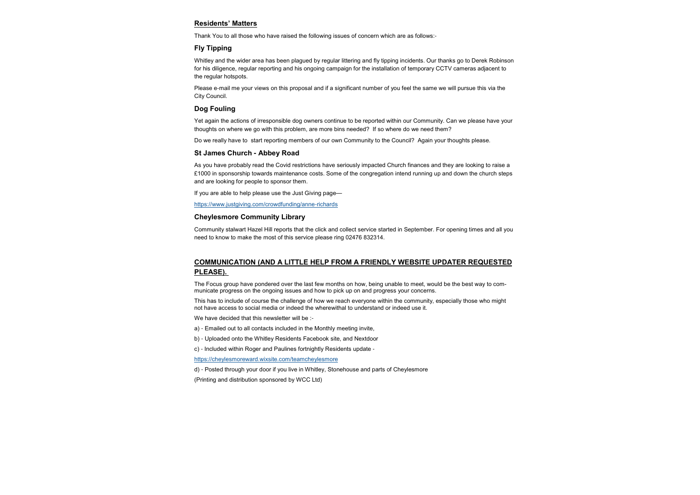### Residents' Matters

Thank You to all those who have raised the following issues of concern which are as follows:-

# Fly Tipping

Whitley and the wider area has been plagued by regular littering and fly tipping incidents. Our thanks go to Derek Robinson for his diligence, regular reporting and his ongoing campaign for the installation of temporary CCTV cameras adjacent to the regular hotspots.

Please e-mail me your views on this proposal and if a significant number of you feel the same we will pursue this via the City Council.

#### Dog Fouling

Yet again the actions of irresponsible dog owners continue to be reported within our Community. Can we please have your thoughts on where we go with this problem, are more bins needed? If so where do we need them?

Do we really have to start reporting members of our own Community to the Council? Again your thoughts please.

#### St James Church **-** Abbey Road

As you have probably read the Covid restrictions have seriously impacted Church finances and they are looking to raise a £1000 in sponsorship towards maintenance costs. Some of the congregation intend running up and down the church steps and are looking for people to sponsor them.

If you are able to help please use the Just Giving page—

https://www.justgiving.com/crowdfunding/anne-richards

#### Cheylesmore Community Library

Community stalwart Hazel Hill reports that the click and collect service started in September. For opening times and all you need to know to make the most of this service please ring 02476 832314.

# COMMUNICATION (AND A LITTLE HELP FROM A FRIENDLY WEBSITE UPDATER REQUESTED PLEASE).

The Focus group have pondered over the last few months on how, being unable to meet, would be the best way to communicate progress on the ongoing issues and how to pick up on and progress your concerns.

This has to include of course the challenge of how we reach everyone within the community, especially those who might not have access to social media or indeed the wherewithal to understand or indeed use it.

We have decided that this newsletter will be :-

- a) Emailed out to all contacts included in the Monthly meeting invite,
- b) Uploaded onto the Whitley Residents Facebook site, and Nextdoor
- c) Included within Roger and Paulines fortnightly Residents update -

https://cheylesmoreward.wixsite.com/teamcheylesmore

d) - Posted through your door if you live in Whitley, Stonehouse and parts of Cheylesmore

(Printing and distribution sponsored by WCC Ltd)